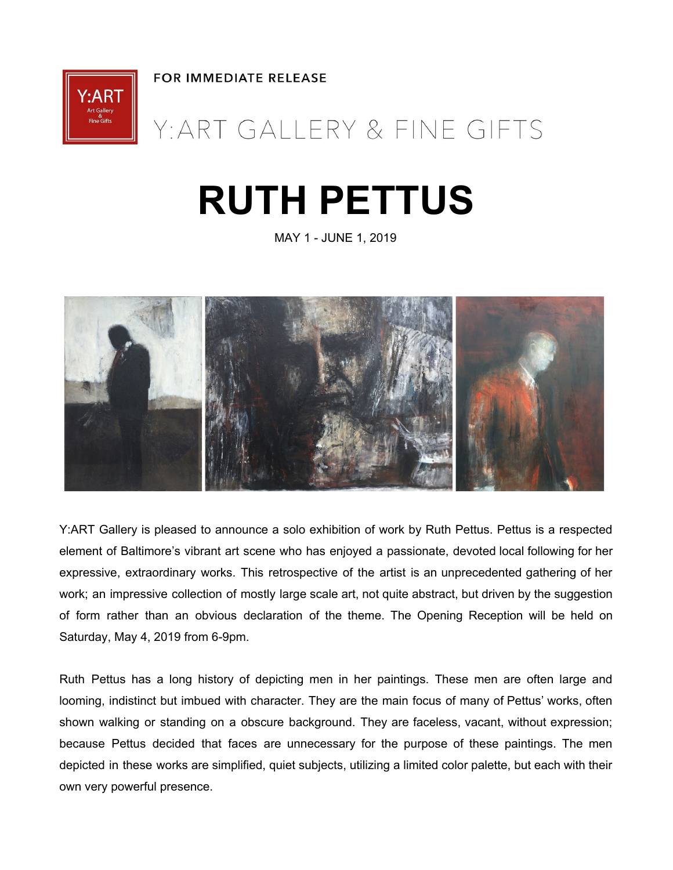**FOR IMMEDIATE RELEASE** 



# Y: ART GALLERY & FINE GIFTS

# **RUTH PETTUS**

MAY 1 - JUNE 1, 2019



Y:ART Gallery is pleased to announce a solo exhibition of work by Ruth Pettus. Pettus is a respected element of Baltimore's vibrant art scene who has enjoyed a passionate, devoted local following for her expressive, extraordinary works. This retrospective of the artist is an unprecedented gathering of her work; an impressive collection of mostly large scale art, not quite abstract, but driven by the suggestion of form rather than an obvious declaration of the theme. The Opening Reception will be held on Saturday, May 4, 2019 from 6-9pm.

Ruth Pettus has a long history of depicting men in her paintings. These men are often large and looming, indistinct but imbued with character. They are the main focus of many of Pettus' works, often shown walking or standing on a obscure background. They are faceless, vacant, without expression; because Pettus decided that faces are unnecessary for the purpose of these paintings. The men depicted in these works are simplified, quiet subjects, utilizing a limited color palette, but each with their own very powerful presence.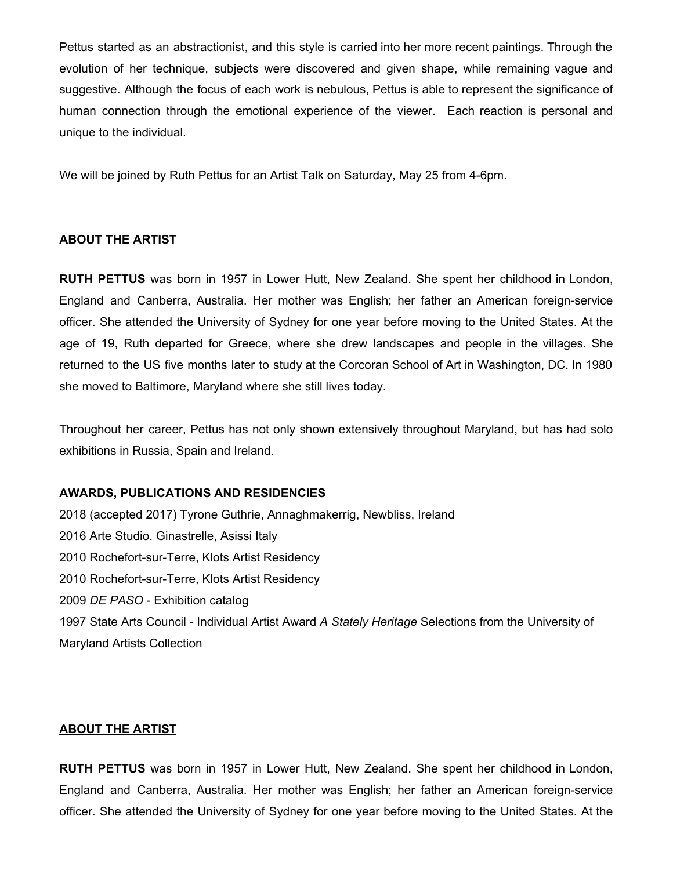Pettus started as an abstractionist, and this style is carried into her more recent paintings. Through the evolution of her technique, subjects were discovered and given shape, while remaining vague and suggestive. Although the focus of each work is nebulous, Pettus is able to represent the significance of human connection through the emotional experience of the viewer. Each reaction is personal and unique to the individual.

We will be joined by Ruth Pettus for an Artist Talk on Saturday, May 25 from 4-6pm.

#### **ABOUT THE ARTIST**

**RUTH PETTUS** was born in 1957 in Lower Hutt, New Zealand. She spent her childhood in London, England and Canberra, Australia. Her mother was English; her father an American foreign-service officer. She attended the University of Sydney for one year before moving to the United States. At the age of 19, Ruth departed for Greece, where she drew landscapes and people in the villages. She returned to the US five months later to study at the Corcoran School of Art in Washington, DC. In 1980 she moved to Baltimore, Maryland where she still lives today.

Throughout her career, Pettus has not only shown extensively throughout Maryland, but has had solo exhibitions in Russia, Spain and Ireland.

#### **AWARDS, PUBLICATIONS AND RESIDENCIES**

 (accepted 2017) Tyrone Guthrie, Annaghmakerrig, Newbliss, Ireland Arte Studio. Ginastrelle, Asissi Italy Rochefort-sur-Terre, Klots Artist Residency Rochefort-sur-Terre, Klots Artist Residency *DE PASO* - Exhibition catalog State Arts Council - Individual Artist Award *A Stately Heritage* Selections from the University of Maryland Artists Collection

#### **ABOUT THE ARTIST**

**RUTH PETTUS** was born in 1957 in Lower Hutt, New Zealand. She spent her childhood in London, England and Canberra, Australia. Her mother was English; her father an American foreign-service officer. She attended the University of Sydney for one year before moving to the United States. At the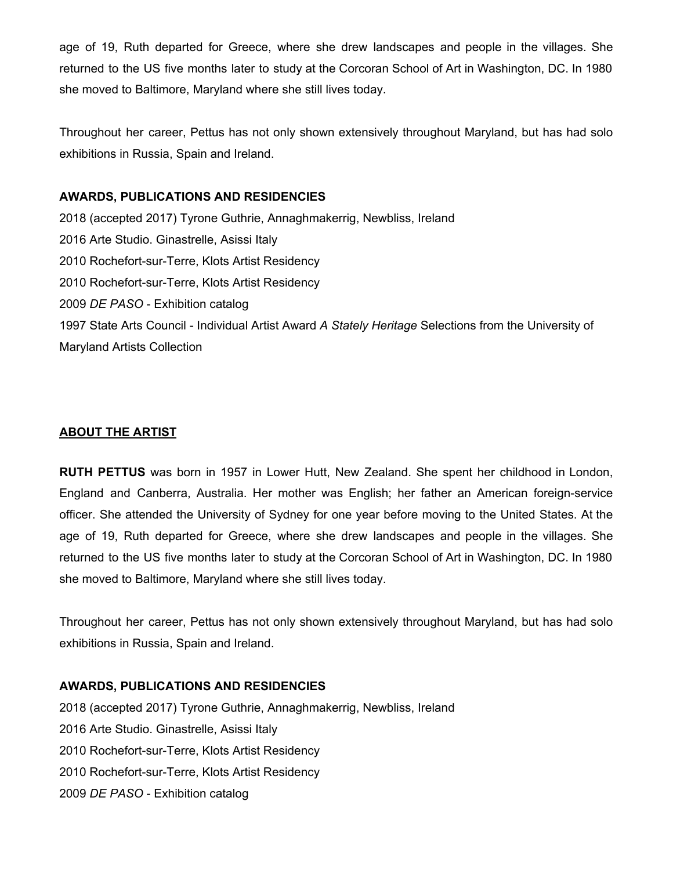age of 19, Ruth departed for Greece, where she drew landscapes and people in the villages. She returned to the US five months later to study at the Corcoran School of Art in Washington, DC. In 1980 she moved to Baltimore, Maryland where she still lives today.

Throughout her career, Pettus has not only shown extensively throughout Maryland, but has had solo exhibitions in Russia, Spain and Ireland.

#### **AWARDS, PUBLICATIONS AND RESIDENCIES**

 (accepted 2017) Tyrone Guthrie, Annaghmakerrig, Newbliss, Ireland Arte Studio. Ginastrelle, Asissi Italy Rochefort-sur-Terre, Klots Artist Residency Rochefort-sur-Terre, Klots Artist Residency *DE PASO* - Exhibition catalog State Arts Council - Individual Artist Award *A Stately Heritage* Selections from the University of Maryland Artists Collection

# **ABOUT THE ARTIST**

**RUTH PETTUS** was born in 1957 in Lower Hutt, New Zealand. She spent her childhood in London, England and Canberra, Australia. Her mother was English; her father an American foreign-service officer. She attended the University of Sydney for one year before moving to the United States. At the age of 19, Ruth departed for Greece, where she drew landscapes and people in the villages. She returned to the US five months later to study at the Corcoran School of Art in Washington, DC. In 1980 she moved to Baltimore, Maryland where she still lives today.

Throughout her career, Pettus has not only shown extensively throughout Maryland, but has had solo exhibitions in Russia, Spain and Ireland.

# **AWARDS, PUBLICATIONS AND RESIDENCIES**

 (accepted 2017) Tyrone Guthrie, Annaghmakerrig, Newbliss, Ireland Arte Studio. Ginastrelle, Asissi Italy Rochefort-sur-Terre, Klots Artist Residency Rochefort-sur-Terre, Klots Artist Residency *DE PASO* - Exhibition catalog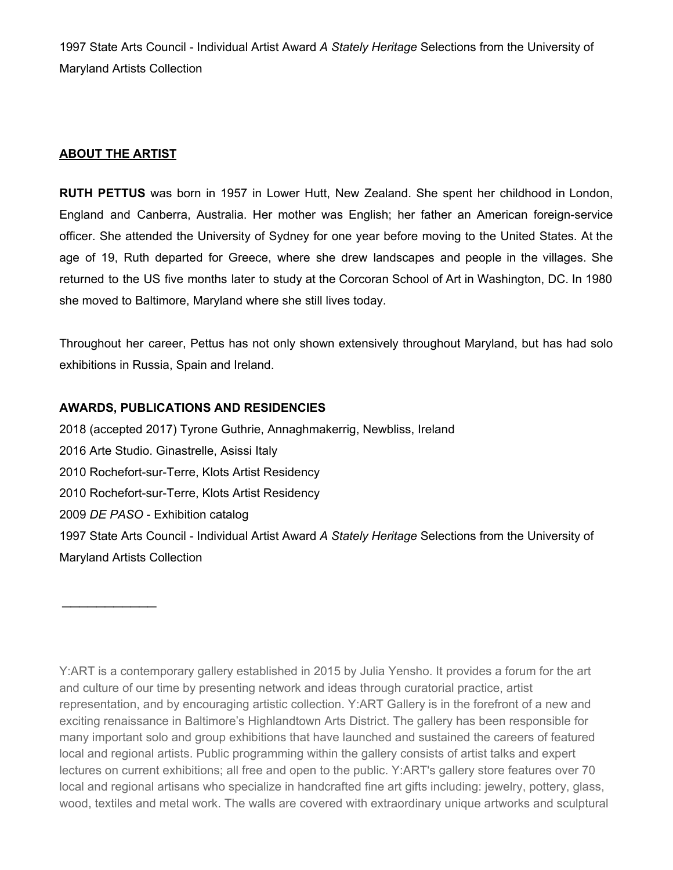1997 State Arts Council - Individual Artist Award *A Stately Heritage* Selections from the University of Maryland Artists Collection

### **ABOUT THE ARTIST**

 $\overline{\phantom{a}}$  . The set of the set of the set of the set of the set of the set of the set of the set of the set of the set of the set of the set of the set of the set of the set of the set of the set of the set of the set o

**RUTH PETTUS** was born in 1957 in Lower Hutt, New Zealand. She spent her childhood in London, England and Canberra, Australia. Her mother was English; her father an American foreign-service officer. She attended the University of Sydney for one year before moving to the United States. At the age of 19, Ruth departed for Greece, where she drew landscapes and people in the villages. She returned to the US five months later to study at the Corcoran School of Art in Washington, DC. In 1980 she moved to Baltimore, Maryland where she still lives today.

Throughout her career, Pettus has not only shown extensively throughout Maryland, but has had solo exhibitions in Russia, Spain and Ireland.

#### **AWARDS, PUBLICATIONS AND RESIDENCIES**

 (accepted 2017) Tyrone Guthrie, Annaghmakerrig, Newbliss, Ireland Arte Studio. Ginastrelle, Asissi Italy Rochefort-sur-Terre, Klots Artist Residency Rochefort-sur-Terre, Klots Artist Residency *DE PASO* - Exhibition catalog State Arts Council - Individual Artist Award *A Stately Heritage* Selections from the University of Maryland Artists Collection

Y:ART is a contemporary gallery established in 2015 by Julia Yensho. It provides a forum for the art and culture of our time by presenting network and ideas through curatorial practice, artist representation, and by encouraging artistic collection. Y:ART Gallery is in the forefront of a new and exciting renaissance in Baltimore's Highlandtown Arts District. The gallery has been responsible for many important solo and group exhibitions that have launched and sustained the careers of featured local and regional artists. Public programming within the gallery consists of artist talks and expert lectures on current exhibitions; all free and open to the public. Y:ART's gallery store features over 70 local and regional artisans who specialize in handcrafted fine art gifts including: jewelry, pottery, glass, wood, textiles and metal work. The walls are covered with extraordinary unique artworks and sculptural